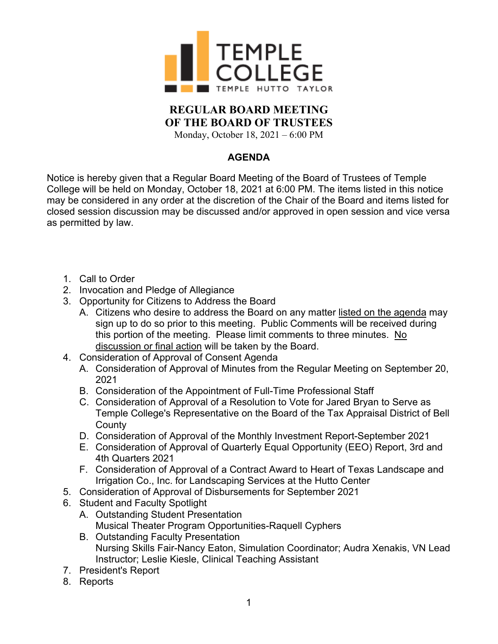

## **REGULAR BOARD MEETING OF THE BOARD OF TRUSTEES**

Monday, October 18, 2021 – 6:00 PM

## **AGENDA**

Notice is hereby given that a Regular Board Meeting of the Board of Trustees of Temple College will be held on Monday, October 18, 2021 at 6:00 PM. The items listed in this notice may be considered in any order at the discretion of the Chair of the Board and items listed for closed session discussion may be discussed and/or approved in open session and vice versa as permitted by law.

- 1. Call to Order
- 2. Invocation and Pledge of Allegiance
- 3. Opportunity for Citizens to Address the Board
	- A. Citizens who desire to address the Board on any matter listed on the agenda may sign up to do so prior to this meeting. Public Comments will be received during this portion of the meeting. Please limit comments to three minutes. No discussion or final action will be taken by the Board.
- 4. Consideration of Approval of Consent Agenda
	- A. Consideration of Approval of Minutes from the Regular Meeting on September 20, 2021
	- B. Consideration of the Appointment of Full-Time Professional Staff
	- C. Consideration of Approval of a Resolution to Vote for Jared Bryan to Serve as Temple College's Representative on the Board of the Tax Appraisal District of Bell **County**
	- D. Consideration of Approval of the Monthly Investment Report-September 2021
	- E. Consideration of Approval of Quarterly Equal Opportunity (EEO) Report, 3rd and 4th Quarters 2021
	- F. Consideration of Approval of a Contract Award to Heart of Texas Landscape and Irrigation Co., Inc. for Landscaping Services at the Hutto Center
- 5. Consideration of Approval of Disbursements for September 2021
- 6. Student and Faculty Spotlight
	- A. Outstanding Student Presentation Musical Theater Program Opportunities-Raquell Cyphers
	- B. Outstanding Faculty Presentation Nursing Skills Fair-Nancy Eaton, Simulation Coordinator; Audra Xenakis, VN Lead Instructor; Leslie Kiesle, Clinical Teaching Assistant
- 7. President's Report
- 8. Reports